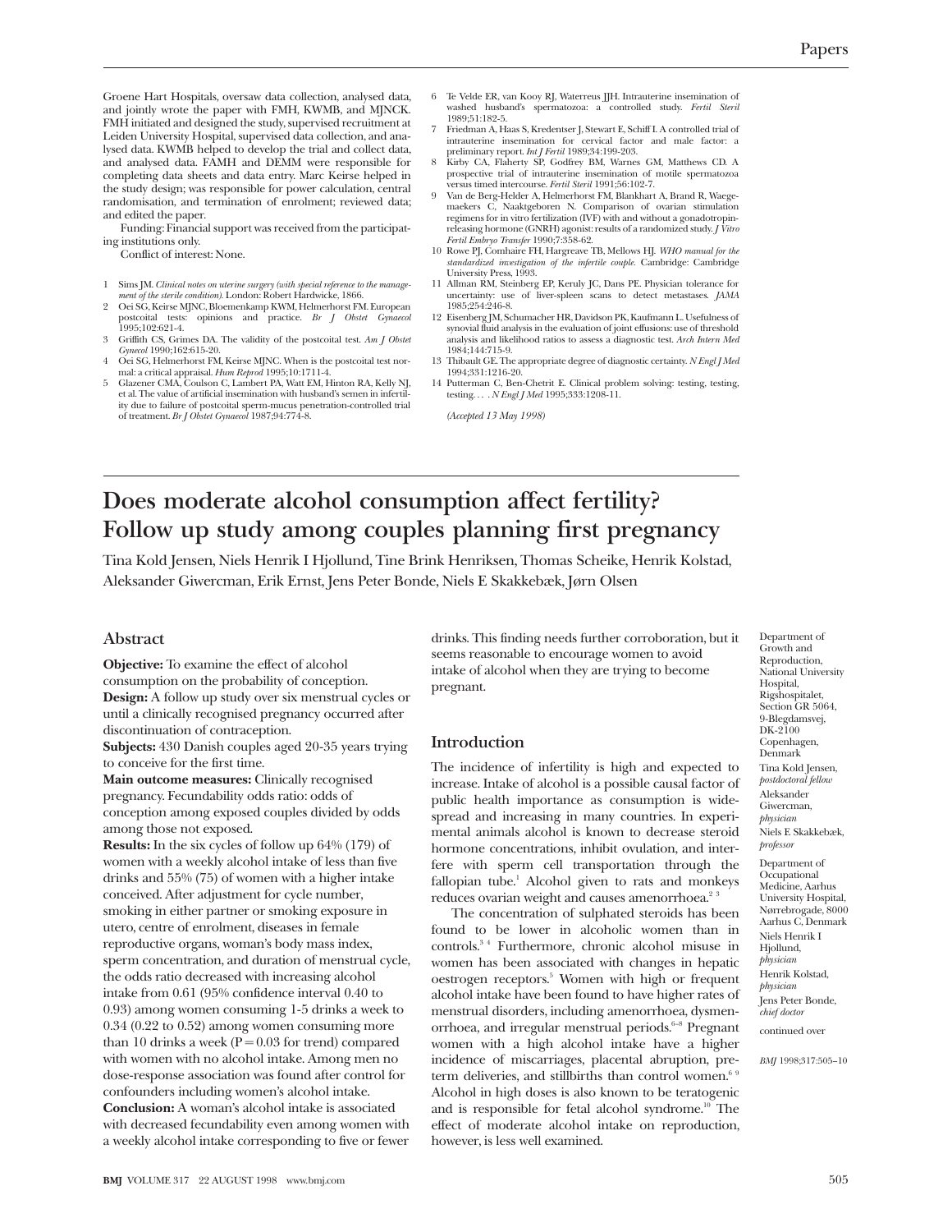Groene Hart Hospitals, oversaw data collection, analysed data, and jointly wrote the paper with FMH, KWMB, and MJNCK. FMH initiated and designed the study, supervised recruitment at Leiden University Hospital, supervised data collection, and analysed data. KWMB helped to develop the trial and collect data, and analysed data. FAMH and DEMM were responsible for completing data sheets and data entry. Marc Keirse helped in the study design; was responsible for power calculation, central randomisation, and termination of enrolment; reviewed data; and edited the paper.

Funding: Financial support was received from the participating institutions only.

Conflict of interest: None.

- 1 Sims JM. *Clinical notes on uterine surgery (with special reference to the manage-ment of the sterile condition).* London: Robert Hardwicke, 1866.
- 2 Oei SG, Keirse MJNC, Bloemenkamp KWM, Helmerhorst FM. European postcoital tests: opinions and practice. *Br J Obstet Gynaecol* 1995;102:621-4.
- 3 Griffith CS, Grimes DA. The validity of the postcoital test. *Am J Obstet Gynecol* 1990;162:615-20.
- 4 Oei SG, Helmerhorst FM, Keirse MJNC. When is the postcoital test normal: a critical appraisal. *Hum Reprod* 1995;10:1711-4. 5 Glazener CMA, Coulson C, Lambert PA, Watt EM, Hinton RA, Kelly NJ,
- et al. The value of artificial insemination with husband's semen in infertility due to failure of postcoital sperm-mucus penetration-controlled trial of treatment. *Br J Obstet Gynaecol* 1987;94:774-8.
- 6 Te Velde ER, van Kooy RJ, Waterreus JJH. Intrauterine insemination of washed husband's spermatozoa: a controlled study. *Fertil Steril* 1989;51:182-5.
- 7 Friedman A, Haas S, Kredentser J, Stewart E, Schiff I. A controlled trial of intrauterine insemination for cervical factor and male factor: a preliminary report. *Int J Fertil* 1989;34:199-203.
- 8 Kirby CA, Flaherty SP, Godfrey BM, Warnes GM, Matthews CD. A prospective trial of intrauterine insemination of motile spermatozoa versus timed intercourse. *Fertil Steril* 1991;56:102-7.
- 9 Van de Berg-Helder A, Helmerhorst FM, Blankhart A, Brand R, Waegemaekers C, Naaktgeboren N. Comparison of ovarian stimulation regimens for in vitro fertilization (IVF) with and without a gonadotropinreleasing hormone (GNRH) agonist: results of a randomized study. *J Vitro Fertil Embryo Transfer* 1990;7:358-62.
- 10 Rowe PJ, Comhaire FH, Hargreave TB, Mellows HJ. *WHO manual for the standardized investigation of the infertile couple.* Cambridge: Cambridge University Press, 1993.
- 11 Allman RM, Steinberg EP, Keruly JC, Dans PE. Physician tolerance for uncertainty: use of liver-spleen scans to detect metastases. *JAMA*  $1985.954.946.8$
- 12 Eisenberg JM, Schumacher HR, Davidson PK, Kaufmann L. Usefulness of synovial fluid analysis in the evaluation of joint effusions: use of threshold analysis and likelihood ratios to assess a diagnostic test. *Arch Intern Med* 1984;144:715-9.
- 13 Thibault GE. The appropriate degree of diagnostic certainty. *N Engl J Med* 1994;331:1216-20.
- 14 Putterman C, Ben-Chetrit E. Clinical problem solving: testing, testing, testing. . . . *N Engl J Med* 1995;333:1208-11.

*(Accepted 13 May 1998)*

# **Does moderate alcohol consumption affect fertility? Follow up study among couples planning first pregnancy**

Tina Kold Jensen, Niels Henrik I Hjollund, Tine Brink Henriksen, Thomas Scheike, Henrik Kolstad, Aleksander Giwercman, Erik Ernst, Jens Peter Bonde, Niels E Skakkebæk, Jørn Olsen

# **Abstract**

**Objective:** To examine the effect of alcohol consumption on the probability of conception. **Design:** A follow up study over six menstrual cycles or until a clinically recognised pregnancy occurred after discontinuation of contraception.

**Subjects:** 430 Danish couples aged 20-35 years trying to conceive for the first time.

**Main outcome measures:** Clinically recognised pregnancy. Fecundability odds ratio: odds of conception among exposed couples divided by odds among those not exposed.

**Results:** In the six cycles of follow up 64% (179) of women with a weekly alcohol intake of less than five drinks and 55% (75) of women with a higher intake conceived. After adjustment for cycle number, smoking in either partner or smoking exposure in utero, centre of enrolment, diseases in female reproductive organs, woman's body mass index, sperm concentration, and duration of menstrual cycle, the odds ratio decreased with increasing alcohol intake from 0.61 (95% confidence interval 0.40 to 0.93) among women consuming 1-5 drinks a week to 0.34 (0.22 to 0.52) among women consuming more than 10 drinks a week ( $P = 0.03$  for trend) compared with women with no alcohol intake. Among men no dose-response association was found after control for confounders including women's alcohol intake. **Conclusion:** A woman's alcohol intake is associated with decreased fecundability even among women with a weekly alcohol intake corresponding to five or fewer

drinks. This finding needs further corroboration, but it seems reasonable to encourage women to avoid intake of alcohol when they are trying to become pregnant.

## **Introduction**

The incidence of infertility is high and expected to increase. Intake of alcohol is a possible causal factor of public health importance as consumption is widespread and increasing in many countries. In experimental animals alcohol is known to decrease steroid hormone concentrations, inhibit ovulation, and interfere with sperm cell transportation through the  $fallopian$  tube.<sup>1</sup> Alcohol given to rats and monkeys reduces ovarian weight and causes amenorrhoea.<sup>23</sup>

The concentration of sulphated steroids has been found to be lower in alcoholic women than in controls.3 4 Furthermore, chronic alcohol misuse in women has been associated with changes in hepatic oestrogen receptors.<sup>5</sup> Women with high or frequent alcohol intake have been found to have higher rates of menstrual disorders, including amenorrhoea, dysmenorrhoea, and irregular menstrual periods.<sup>6-8</sup> Pregnant women with a high alcohol intake have a higher incidence of miscarriages, placental abruption, preterm deliveries, and stillbirths than control women.<sup>6 9</sup> Alcohol in high doses is also known to be teratogenic and is responsible for fetal alcohol syndrome.<sup>10</sup> The effect of moderate alcohol intake on reproduction, however, is less well examined.

Department of Growth and Reproduction, National University Hospital, Rigshospitalet,

*BMJ* 1998;317:505–10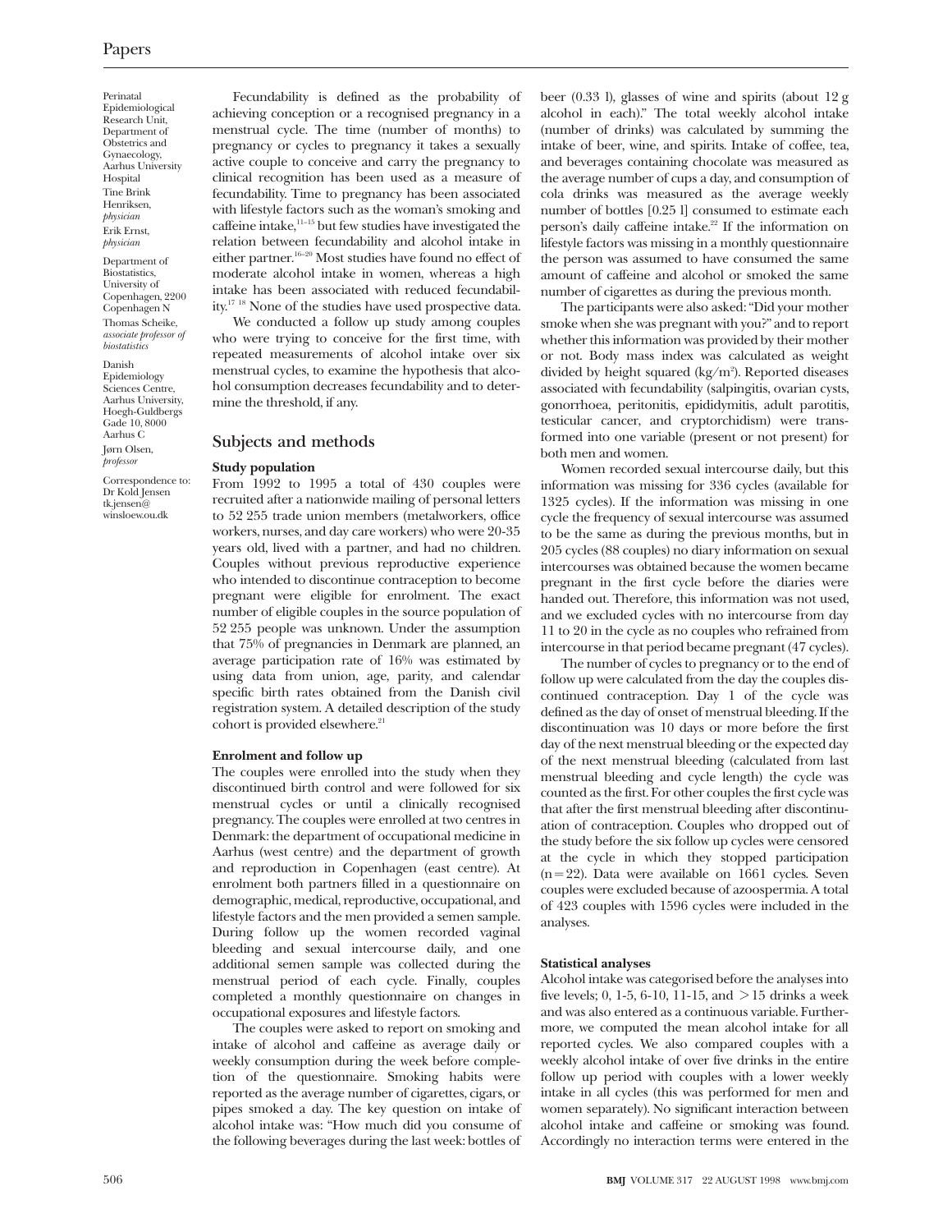Perinatal Epidemiological Research Unit, Department of Obstetrics and Gynaecology, Aarhus University Hospital Tine Brink Henriksen, *physician* Erik Ernst, *physician*

Department of Biostatistics, University of Copenhagen, 2200 Copenhagen N Thomas Scheike, *associate professor of biostatistics*

Danish Epidemiology Sciences Centre, Aarhus University, Hoegh-Guldbergs Gade 10, 8000 Aarhus C Jørn Olsen, *professor*

Correspondence to: Dr Kold Jensen tk.jensen@ winsloew.ou.dk

Fecundability is defined as the probability of achieving conception or a recognised pregnancy in a menstrual cycle. The time (number of months) to pregnancy or cycles to pregnancy it takes a sexually active couple to conceive and carry the pregnancy to clinical recognition has been used as a measure of fecundability. Time to pregnancy has been associated with lifestyle factors such as the woman's smoking and caffeine intake,<sup>11–15</sup> but few studies have investigated the relation between fecundability and alcohol intake in either partner.<sup>16–20</sup> Most studies have found no effect of moderate alcohol intake in women, whereas a high intake has been associated with reduced fecundability.17 18 None of the studies have used prospective data.

We conducted a follow up study among couples who were trying to conceive for the first time, with repeated measurements of alcohol intake over six menstrual cycles, to examine the hypothesis that alcohol consumption decreases fecundability and to determine the threshold, if any.

# **Subjects and methods**

#### **Study population**

From 1992 to 1995 a total of 430 couples were recruited after a nationwide mailing of personal letters to 52 255 trade union members (metalworkers, office workers, nurses, and day care workers) who were 20-35 years old, lived with a partner, and had no children. Couples without previous reproductive experience who intended to discontinue contraception to become pregnant were eligible for enrolment. The exact number of eligible couples in the source population of 52 255 people was unknown. Under the assumption that 75% of pregnancies in Denmark are planned, an average participation rate of 16% was estimated by using data from union, age, parity, and calendar specific birth rates obtained from the Danish civil registration system. A detailed description of the study cohort is provided elsewhere.<sup>21</sup>

#### **Enrolment and follow up**

The couples were enrolled into the study when they discontinued birth control and were followed for six menstrual cycles or until a clinically recognised pregnancy. The couples were enrolled at two centres in Denmark: the department of occupational medicine in Aarhus (west centre) and the department of growth and reproduction in Copenhagen (east centre). At enrolment both partners filled in a questionnaire on demographic, medical, reproductive, occupational, and lifestyle factors and the men provided a semen sample. During follow up the women recorded vaginal bleeding and sexual intercourse daily, and one additional semen sample was collected during the menstrual period of each cycle. Finally, couples completed a monthly questionnaire on changes in occupational exposures and lifestyle factors.

The couples were asked to report on smoking and intake of alcohol and caffeine as average daily or weekly consumption during the week before completion of the questionnaire. Smoking habits were reported as the average number of cigarettes, cigars, or pipes smoked a day. The key question on intake of alcohol intake was: "How much did you consume of the following beverages during the last week: bottles of

beer (0.33 l), glasses of wine and spirits (about 12 g alcohol in each)." The total weekly alcohol intake (number of drinks) was calculated by summing the intake of beer, wine, and spirits. Intake of coffee, tea, and beverages containing chocolate was measured as the average number of cups a day, and consumption of cola drinks was measured as the average weekly number of bottles [0.25 l] consumed to estimate each person's daily caffeine intake.<sup>22</sup> If the information on lifestyle factors was missing in a monthly questionnaire the person was assumed to have consumed the same amount of caffeine and alcohol or smoked the same number of cigarettes as during the previous month.

The participants were also asked: "Did your mother smoke when she was pregnant with you?" and to report whether this information was provided by their mother or not. Body mass index was calculated as weight divided by height squared ( $\text{kg/m}^2$ ). Reported diseases associated with fecundability (salpingitis, ovarian cysts, gonorrhoea, peritonitis, epididymitis, adult parotitis, testicular cancer, and cryptorchidism) were transformed into one variable (present or not present) for both men and women.

Women recorded sexual intercourse daily, but this information was missing for 336 cycles (available for 1325 cycles). If the information was missing in one cycle the frequency of sexual intercourse was assumed to be the same as during the previous months, but in 205 cycles (88 couples) no diary information on sexual intercourses was obtained because the women became pregnant in the first cycle before the diaries were handed out. Therefore, this information was not used, and we excluded cycles with no intercourse from day 11 to 20 in the cycle as no couples who refrained from intercourse in that period became pregnant (47 cycles).

The number of cycles to pregnancy or to the end of follow up were calculated from the day the couples discontinued contraception. Day 1 of the cycle was defined as the day of onset of menstrual bleeding. If the discontinuation was 10 days or more before the first day of the next menstrual bleeding or the expected day of the next menstrual bleeding (calculated from last menstrual bleeding and cycle length) the cycle was counted as the first. For other couples the first cycle was that after the first menstrual bleeding after discontinuation of contraception. Couples who dropped out of the study before the six follow up cycles were censored at the cycle in which they stopped participation  $(n=22)$ . Data were available on 1661 cycles. Seven couples were excluded because of azoospermia. A total of 423 couples with 1596 cycles were included in the analyses.

#### **Statistical analyses**

Alcohol intake was categorised before the analyses into five levels; 0, 1-5, 6-10, 11-15, and  $>$  15 drinks a week and was also entered as a continuous variable. Furthermore, we computed the mean alcohol intake for all reported cycles. We also compared couples with a weekly alcohol intake of over five drinks in the entire follow up period with couples with a lower weekly intake in all cycles (this was performed for men and women separately). No significant interaction between alcohol intake and caffeine or smoking was found. Accordingly no interaction terms were entered in the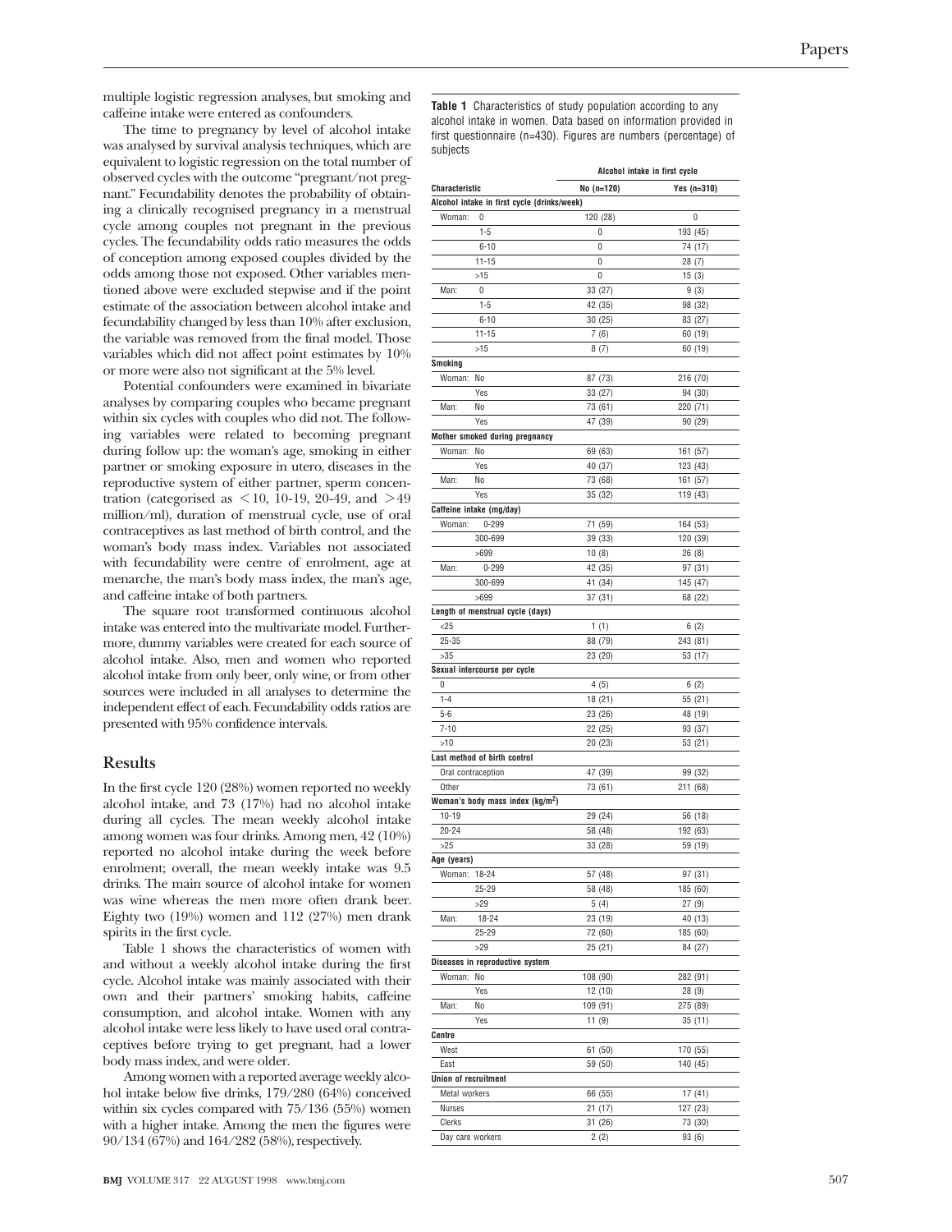multiple logistic regression analyses, but smoking and caffeine intake were entered as confounders.

The time to pregnancy by level of alcohol intake was analysed by survival analysis techniques, which are equivalent to logistic regression on the total number of observed cycles with the outcome "pregnant/not pregnant." Fecundability denotes the probability of obtaining a clinically recognised pregnancy in a menstrual cycle among couples not pregnant in the previous cycles. The fecundability odds ratio measures the odds of conception among exposed couples divided by the odds among those not exposed. Other variables mentioned above were excluded stepwise and if the point estimate of the association between alcohol intake and fecundability changed by less than 10% after exclusion, the variable was removed from the final model. Those variables which did not affect point estimates by 10% or more were also not significant at the 5% level.

Potential confounders were examined in bivariate analyses by comparing couples who became pregnant within six cycles with couples who did not. The following variables were related to becoming pregnant during follow up: the woman's age, smoking in either partner or smoking exposure in utero, diseases in the reproductive system of either partner, sperm concentration (categorised as  $\leq 10$ , 10-19, 20-49, and  $>49$ million/ml), duration of menstrual cycle, use of oral contraceptives as last method of birth control, and the woman's body mass index. Variables not associated with fecundability were centre of enrolment, age at menarche, the man's body mass index, the man's age, and caffeine intake of both partners.

The square root transformed continuous alcohol intake was entered into the multivariate model. Furthermore, dummy variables were created for each source of alcohol intake. Also, men and women who reported alcohol intake from only beer, only wine, or from other sources were included in all analyses to determine the independent effect of each. Fecundability odds ratios are presented with 95% confidence intervals.

# **Results**

In the first cycle 120 (28%) women reported no weekly alcohol intake, and 73 (17%) had no alcohol intake during all cycles. The mean weekly alcohol intake among women was four drinks. Among men, 42 (10%) reported no alcohol intake during the week before enrolment; overall, the mean weekly intake was 9.5 drinks. The main source of alcohol intake for women was wine whereas the men more often drank beer. Eighty two (19%) women and 112 (27%) men drank spirits in the first cycle.

Table 1 shows the characteristics of women with and without a weekly alcohol intake during the first cycle. Alcohol intake was mainly associated with their own and their partners' smoking habits, caffeine consumption, and alcohol intake. Women with any alcohol intake were less likely to have used oral contraceptives before trying to get pregnant, had a lower body mass index, and were older.

Among women with a reported average weekly alcohol intake below five drinks, 179/280 (64%) conceived within six cycles compared with 75/136 (55%) women with a higher intake. Among the men the figures were 90/134 (67%) and 164/282 (58%), respectively.

**BMJ** VOLUME 317 22 AUGUST 1998 www.bmj.com 507

**Table 1** Characteristics of study population according to any alcohol intake in women. Data based on information provided in first questionnaire (n=430). Figures are numbers (percentage) of subjects

| Yes $(n=310)$<br>0<br>193 (45)<br>74 (17)<br>28(7)<br>15(3)<br>9(3)<br>98 (32)<br>83 (27)<br>60 (19)<br>60 (19)<br>216 (70)<br>94 (30)<br>220 (71) |
|----------------------------------------------------------------------------------------------------------------------------------------------------|
|                                                                                                                                                    |
|                                                                                                                                                    |
|                                                                                                                                                    |
|                                                                                                                                                    |
|                                                                                                                                                    |
|                                                                                                                                                    |
|                                                                                                                                                    |
|                                                                                                                                                    |
|                                                                                                                                                    |
|                                                                                                                                                    |
|                                                                                                                                                    |
|                                                                                                                                                    |
|                                                                                                                                                    |
|                                                                                                                                                    |
|                                                                                                                                                    |
| 90 (29)                                                                                                                                            |
|                                                                                                                                                    |
| 161 (57)                                                                                                                                           |
| 123 (43)                                                                                                                                           |
| 161 (57)                                                                                                                                           |
| 119 (43)                                                                                                                                           |
|                                                                                                                                                    |
| 164 (53)                                                                                                                                           |
| 120 (39)                                                                                                                                           |
| 26(8)                                                                                                                                              |
| 97 (31)                                                                                                                                            |
| 145 (47)                                                                                                                                           |
| 68 (22)                                                                                                                                            |
|                                                                                                                                                    |
| 6(2)                                                                                                                                               |
| 243 (81)                                                                                                                                           |
| 53 (17)                                                                                                                                            |
|                                                                                                                                                    |
| 6(2)                                                                                                                                               |
| 55 (21)                                                                                                                                            |
| 48 (19)                                                                                                                                            |
| 93 (37)                                                                                                                                            |
| 53 (21)                                                                                                                                            |
|                                                                                                                                                    |
| 99 (32)                                                                                                                                            |
| 211 (68)                                                                                                                                           |
|                                                                                                                                                    |
| 56 (18)                                                                                                                                            |
| 192 (63)                                                                                                                                           |
| 59 (19)                                                                                                                                            |
|                                                                                                                                                    |
| 97 (31)                                                                                                                                            |
| 185 (60)                                                                                                                                           |
|                                                                                                                                                    |
| 27(9)                                                                                                                                              |
| 40 (13)                                                                                                                                            |
| 185 (60)                                                                                                                                           |
| 84 (27)                                                                                                                                            |
|                                                                                                                                                    |
| 282 (91)                                                                                                                                           |
| 28 (9)                                                                                                                                             |
| 275 (89)                                                                                                                                           |
| 35 (11)                                                                                                                                            |
|                                                                                                                                                    |
| 170 (55)                                                                                                                                           |
| 140 (45)                                                                                                                                           |
|                                                                                                                                                    |
| 17(41)                                                                                                                                             |
| 127 (23)<br>73 (30)                                                                                                                                |
|                                                                                                                                                    |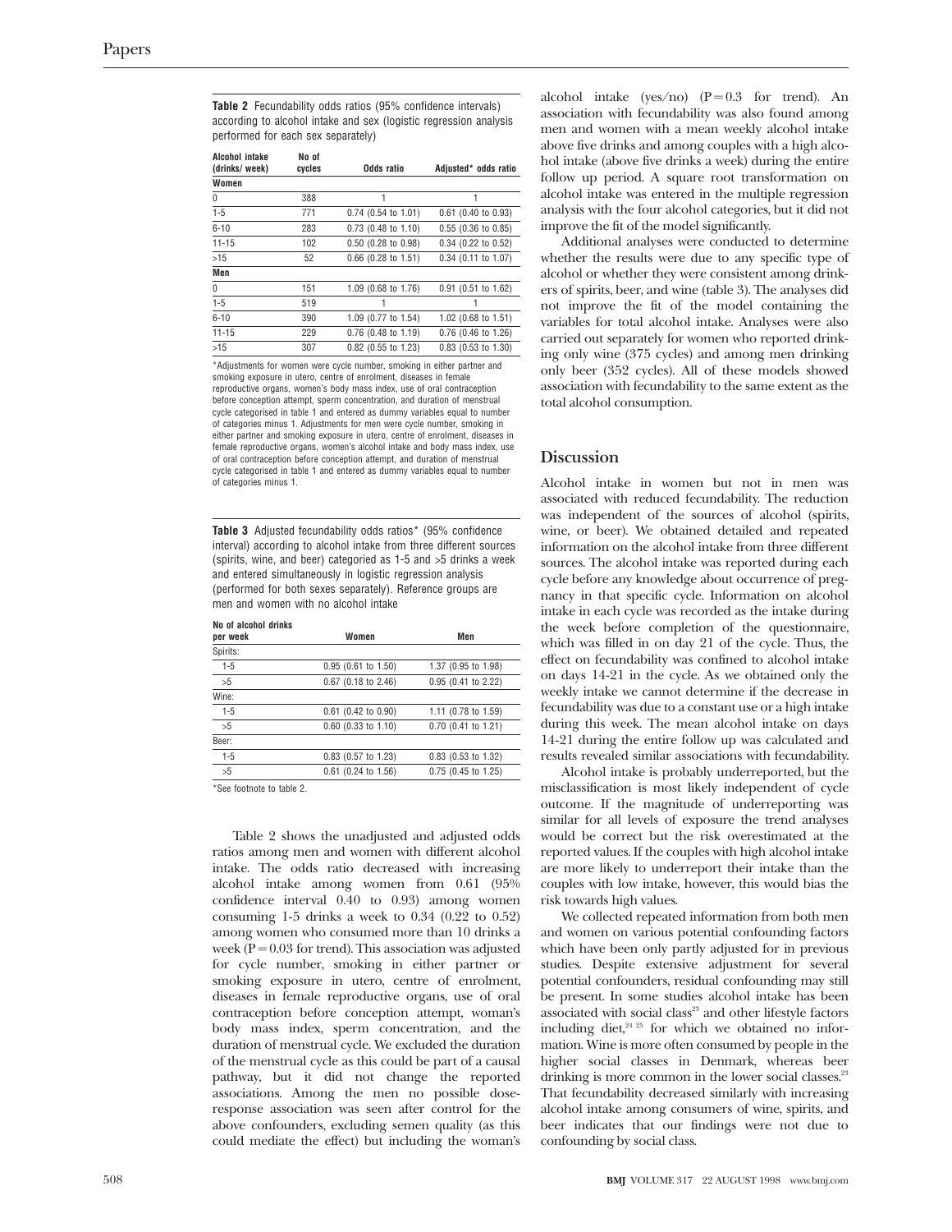**Table 2** Fecundability odds ratios (95% confidence intervals) according to alcohol intake and sex (logistic regression analysis performed for each sex separately)

| No of<br>cycles | Odds ratio            | Adjusted* odds ratio |
|-----------------|-----------------------|----------------------|
|                 |                       |                      |
| 388             | 1                     | 1                    |
| 771             | $0.74$ (0.54 to 1.01) | 0.61 (0.40 to 0.93)  |
| 283             | 0.73 (0.48 to 1.10)   | 0.55 (0.36 to 0.85)  |
| 102             | 0.50 (0.28 to 0.98)   | 0.34 (0.22 to 0.52)  |
| 52              | $0.66$ (0.28 to 1.51) | 0.34 (0.11 to 1.07)  |
|                 |                       |                      |
| 151             | 1.09 (0.68 to 1.76)   | 0.91 (0.51 to 1.62)  |
| 519             | 1                     |                      |
| 390             | 1.09 (0.77 to 1.54)   | 1.02 (0.68 to 1.51)  |
| 229             | 0.76 (0.48 to 1.19)   | 0.76 (0.46 to 1.26)  |
| 307             | 0.82 (0.55 to 1.23)   | 0.83 (0.53 to 1.30)  |
|                 |                       |                      |

\*Adjustments for women were cycle number, smoking in either partner and smoking exposure in utero, centre of enrolment, diseases in female reproductive organs, women's body mass index, use of oral contraception before conception attempt, sperm concentration, and duration of menstrual cycle categorised in table 1 and entered as dummy variables equal to number of categories minus 1. Adjustments for men were cycle number, smoking in either partner and smoking exposure in utero, centre of enrolment, diseases in female reproductive organs, women's alcohol intake and body mass index, use of oral contraception before conception attempt, and duration of menstrual cycle categorised in table 1 and entered as dummy variables equal to number of categories minus 1.

**Table 3** Adjusted fecundability odds ratios\* (95% confidence interval) according to alcohol intake from three different sources (spirits, wine, and beer) categoried as 1-5 and >5 drinks a week and entered simultaneously in logistic regression analysis (performed for both sexes separately). Reference groups are men and women with no alcohol intake

| No of alcohol drinks<br>per week | Women                 | Men                   |
|----------------------------------|-----------------------|-----------------------|
| Spirits:                         |                       |                       |
| $1 - 5$                          | $0.95$ (0.61 to 1.50) | 1.37 (0.95 to 1.98)   |
| >5                               | 0.67 (0.18 to 2.46)   | 0.95 (0.41 to 2.22)   |
| Wine:                            |                       |                       |
| $1 - 5$                          | $0.61$ (0.42 to 0.90) | 1.11 (0.78 to 1.59)   |
| >5                               | $0.60$ (0.33 to 1.10) | 0.70 (0.41 to 1.21)   |
| Beer:                            |                       |                       |
| $1 - 5$                          | 0.83 (0.57 to 1.23)   | $0.83$ (0.53 to 1.32) |
| >5                               | $0.61$ (0.24 to 1.56) | 0.75 (0.45 to 1.25)   |
|                                  |                       |                       |

\*See footnote to table 2.

Table 2 shows the unadjusted and adjusted odds ratios among men and women with different alcohol intake. The odds ratio decreased with increasing alcohol intake among women from 0.61 (95% confidence interval 0.40 to 0.93) among women consuming  $1-5$  drinks a week to  $0.34$   $(0.22)$  to  $0.52)$ among women who consumed more than 10 drinks a week ( $P = 0.03$  for trend). This association was adjusted for cycle number, smoking in either partner or smoking exposure in utero, centre of enrolment, diseases in female reproductive organs, use of oral contraception before conception attempt, woman's body mass index, sperm concentration, and the duration of menstrual cycle. We excluded the duration of the menstrual cycle as this could be part of a causal pathway, but it did not change the reported associations. Among the men no possible doseresponse association was seen after control for the above confounders, excluding semen quality (as this could mediate the effect) but including the woman's

alcohol intake (yes/no)  $(P=0.3$  for trend). An association with fecundability was also found among men and women with a mean weekly alcohol intake above five drinks and among couples with a high alcohol intake (above five drinks a week) during the entire follow up period. A square root transformation on alcohol intake was entered in the multiple regression analysis with the four alcohol categories, but it did not improve the fit of the model significantly.

Additional analyses were conducted to determine whether the results were due to any specific type of alcohol or whether they were consistent among drinkers of spirits, beer, and wine (table 3). The analyses did not improve the fit of the model containing the variables for total alcohol intake. Analyses were also carried out separately for women who reported drinking only wine (375 cycles) and among men drinking only beer (352 cycles). All of these models showed association with fecundability to the same extent as the total alcohol consumption.

# **Discussion**

Alcohol intake in women but not in men was associated with reduced fecundability. The reduction was independent of the sources of alcohol (spirits, wine, or beer). We obtained detailed and repeated information on the alcohol intake from three different sources. The alcohol intake was reported during each cycle before any knowledge about occurrence of pregnancy in that specific cycle. Information on alcohol intake in each cycle was recorded as the intake during the week before completion of the questionnaire, which was filled in on day 21 of the cycle. Thus, the effect on fecundability was confined to alcohol intake on days 14-21 in the cycle. As we obtained only the weekly intake we cannot determine if the decrease in fecundability was due to a constant use or a high intake during this week. The mean alcohol intake on days 14-21 during the entire follow up was calculated and results revealed similar associations with fecundability.

Alcohol intake is probably underreported, but the misclassification is most likely independent of cycle outcome. If the magnitude of underreporting was similar for all levels of exposure the trend analyses would be correct but the risk overestimated at the reported values. If the couples with high alcohol intake are more likely to underreport their intake than the couples with low intake, however, this would bias the risk towards high values.

We collected repeated information from both men and women on various potential confounding factors which have been only partly adjusted for in previous studies. Despite extensive adjustment for several potential confounders, residual confounding may still be present. In some studies alcohol intake has been associated with social class<sup>23</sup> and other lifestyle factors including diet, $24 \times 25$  for which we obtained no information. Wine is more often consumed by people in the higher social classes in Denmark, whereas beer drinking is more common in the lower social classes.<sup>23</sup> That fecundability decreased similarly with increasing alcohol intake among consumers of wine, spirits, and beer indicates that our findings were not due to confounding by social class.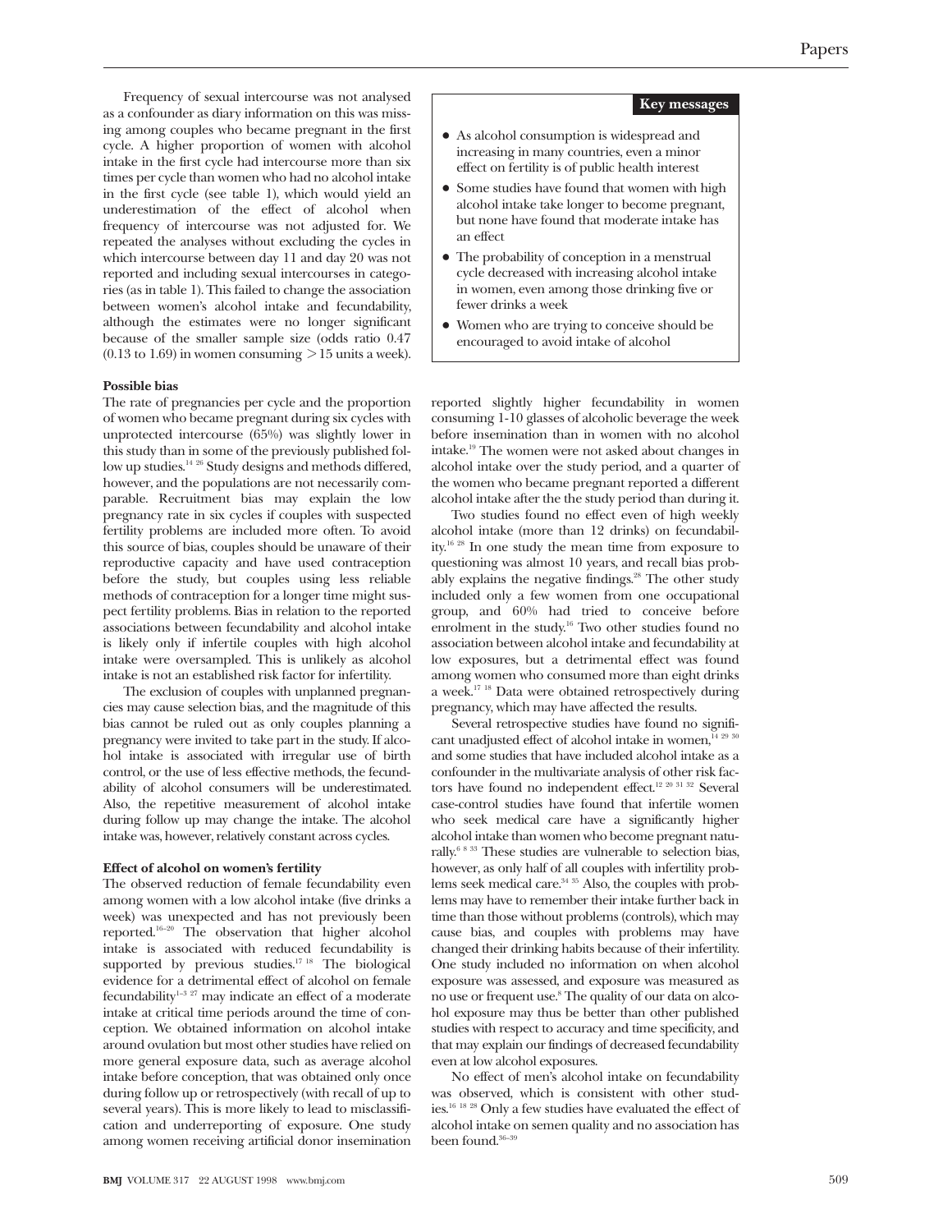Frequency of sexual intercourse was not analysed as a confounder as diary information on this was missing among couples who became pregnant in the first cycle. A higher proportion of women with alcohol intake in the first cycle had intercourse more than six times per cycle than women who had no alcohol intake in the first cycle (see table 1), which would yield an underestimation of the effect of alcohol when frequency of intercourse was not adjusted for. We repeated the analyses without excluding the cycles in which intercourse between day 11 and day 20 was not reported and including sexual intercourses in categories (as in table 1). This failed to change the association between women's alcohol intake and fecundability, although the estimates were no longer significant because of the smaller sample size (odds ratio 0.47  $(0.13$  to 1.69) in women consuming  $> 15$  units a week).

#### **Possible bias**

The rate of pregnancies per cycle and the proportion of women who became pregnant during six cycles with unprotected intercourse (65%) was slightly lower in this study than in some of the previously published follow up studies.<sup>14 26</sup> Study designs and methods differed, however, and the populations are not necessarily comparable. Recruitment bias may explain the low pregnancy rate in six cycles if couples with suspected fertility problems are included more often. To avoid this source of bias, couples should be unaware of their reproductive capacity and have used contraception before the study, but couples using less reliable methods of contraception for a longer time might suspect fertility problems. Bias in relation to the reported associations between fecundability and alcohol intake is likely only if infertile couples with high alcohol intake were oversampled. This is unlikely as alcohol intake is not an established risk factor for infertility.

The exclusion of couples with unplanned pregnancies may cause selection bias, and the magnitude of this bias cannot be ruled out as only couples planning a pregnancy were invited to take part in the study. If alcohol intake is associated with irregular use of birth control, or the use of less effective methods, the fecundability of alcohol consumers will be underestimated. Also, the repetitive measurement of alcohol intake during follow up may change the intake. The alcohol intake was, however, relatively constant across cycles.

#### **Effect of alcohol on women's fertility**

The observed reduction of female fecundability even among women with a low alcohol intake (five drinks a week) was unexpected and has not previously been reported.16–20 The observation that higher alcohol intake is associated with reduced fecundability is supported by previous studies.<sup>17 18</sup> The biological evidence for a detrimental effect of alcohol on female fecundability<sup>1-3</sup> <sup>27</sup> may indicate an effect of a moderate intake at critical time periods around the time of conception. We obtained information on alcohol intake around ovulation but most other studies have relied on more general exposure data, such as average alcohol intake before conception, that was obtained only once during follow up or retrospectively (with recall of up to several years). This is more likely to lead to misclassification and underreporting of exposure. One study among women receiving artificial donor insemination

## **Key messages**

- $\bullet$  As alcohol consumption is widespread and increasing in many countries, even a minor effect on fertility is of public health interest
- Some studies have found that women with high alcohol intake take longer to become pregnant, but none have found that moderate intake has an effect
- The probability of conception in a menstrual cycle decreased with increasing alcohol intake in women, even among those drinking five or fewer drinks a week
- + Women who are trying to conceive should be encouraged to avoid intake of alcohol

reported slightly higher fecundability in women consuming 1-10 glasses of alcoholic beverage the week before insemination than in women with no alcohol intake.19 The women were not asked about changes in alcohol intake over the study period, and a quarter of the women who became pregnant reported a different alcohol intake after the the study period than during it.

Two studies found no effect even of high weekly alcohol intake (more than 12 drinks) on fecundability.16 28 In one study the mean time from exposure to questioning was almost 10 years, and recall bias probably explains the negative findings.<sup>28</sup> The other study included only a few women from one occupational group, and 60% had tried to conceive before enrolment in the study.16 Two other studies found no association between alcohol intake and fecundability at low exposures, but a detrimental effect was found among women who consumed more than eight drinks a week.17 18 Data were obtained retrospectively during pregnancy, which may have affected the results.

Several retrospective studies have found no significant unadjusted effect of alcohol intake in women, $142930$ and some studies that have included alcohol intake as a confounder in the multivariate analysis of other risk factors have found no independent effect.<sup>12 20 31 32</sup> Several case-control studies have found that infertile women who seek medical care have a significantly higher alcohol intake than women who become pregnant naturally.6 8 33 These studies are vulnerable to selection bias, however, as only half of all couples with infertility problems seek medical care.<sup>34 35</sup> Also, the couples with problems may have to remember their intake further back in time than those without problems (controls), which may cause bias, and couples with problems may have changed their drinking habits because of their infertility. One study included no information on when alcohol exposure was assessed, and exposure was measured as no use or frequent use.8 The quality of our data on alcohol exposure may thus be better than other published studies with respect to accuracy and time specificity, and that may explain our findings of decreased fecundability even at low alcohol exposures.

No effect of men's alcohol intake on fecundability was observed, which is consistent with other studies.16 18 28 Only a few studies have evaluated the effect of alcohol intake on semen quality and no association has been found.<sup>36-39</sup>